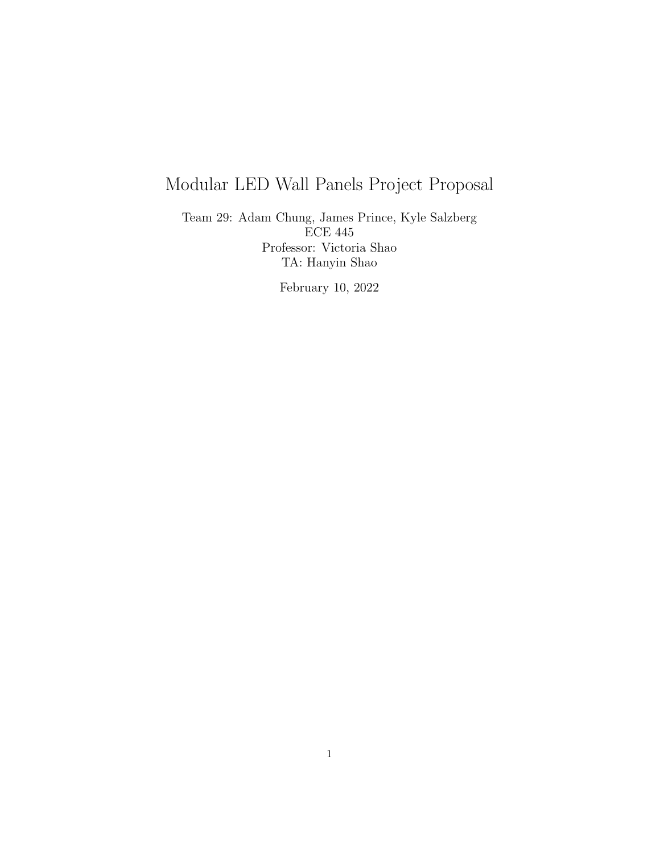# Modular LED Wall Panels Project Proposal

Team 29: Adam Chung, James Prince, Kyle Salzberg ECE 445 Professor: Victoria Shao TA: Hanyin Shao

February 10, 2022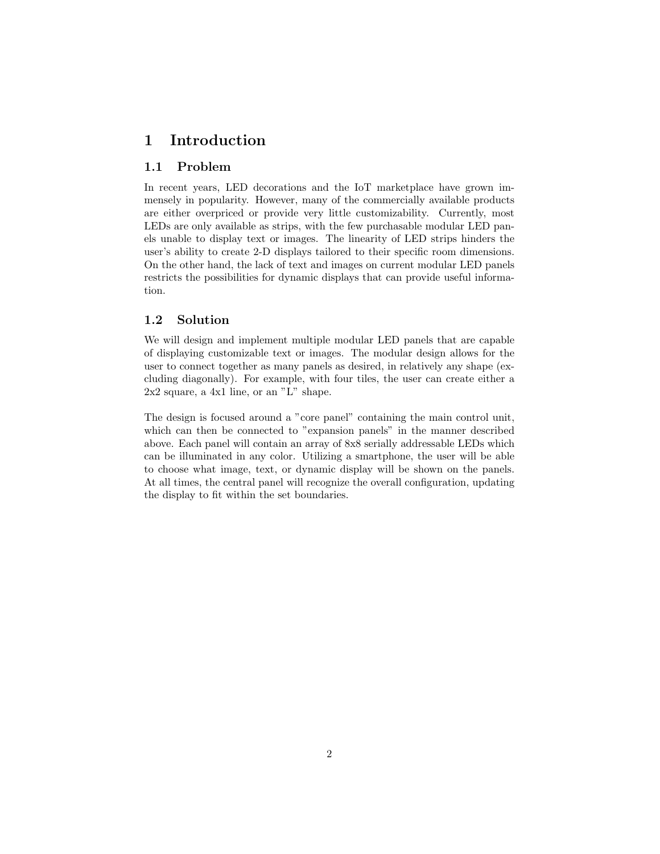## 1 Introduction

## 1.1 Problem

In recent years, LED decorations and the IoT marketplace have grown immensely in popularity. However, many of the commercially available products are either overpriced or provide very little customizability. Currently, most LEDs are only available as strips, with the few purchasable modular LED panels unable to display text or images. The linearity of LED strips hinders the user's ability to create 2-D displays tailored to their specific room dimensions. On the other hand, the lack of text and images on current modular LED panels restricts the possibilities for dynamic displays that can provide useful information.

### 1.2 Solution

We will design and implement multiple modular LED panels that are capable of displaying customizable text or images. The modular design allows for the user to connect together as many panels as desired, in relatively any shape (excluding diagonally). For example, with four tiles, the user can create either a 2x2 square, a 4x1 line, or an "L" shape.

The design is focused around a "core panel" containing the main control unit, which can then be connected to "expansion panels" in the manner described above. Each panel will contain an array of 8x8 serially addressable LEDs which can be illuminated in any color. Utilizing a smartphone, the user will be able to choose what image, text, or dynamic display will be shown on the panels. At all times, the central panel will recognize the overall configuration, updating the display to fit within the set boundaries.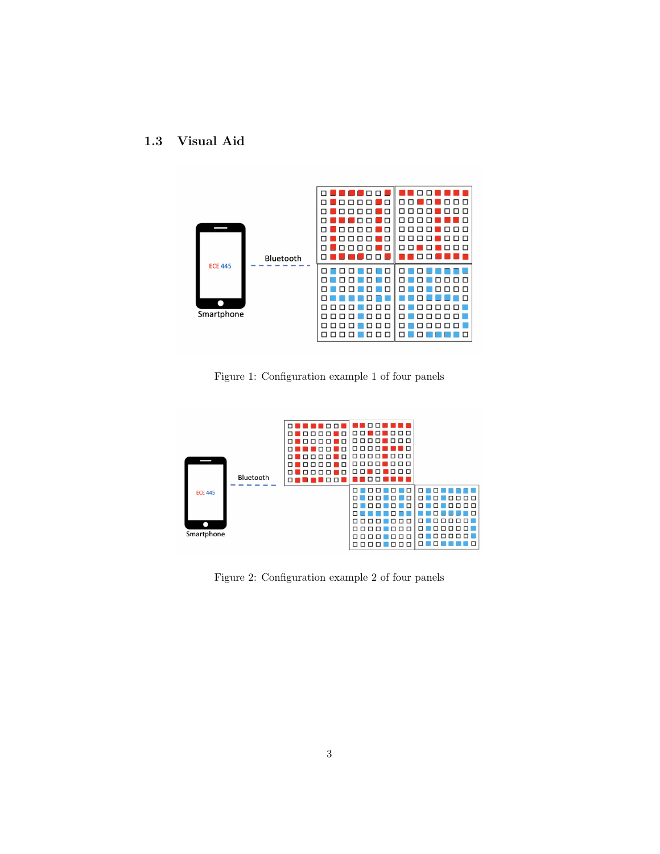## 1.3 Visual Aid



Figure 1: Configuration example 1 of four panels



Figure 2: Configuration example 2 of four panels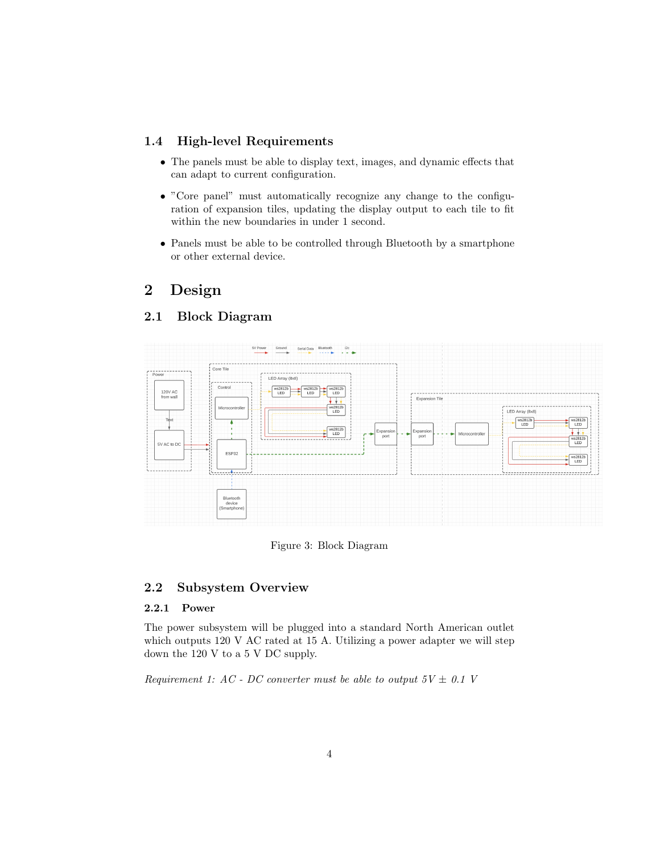## 1.4 High-level Requirements

- The panels must be able to display text, images, and dynamic effects that can adapt to current configuration.
- "Core panel" must automatically recognize any change to the configuration of expansion tiles, updating the display output to each tile to fit within the new boundaries in under 1 second.
- Panels must be able to be controlled through Bluetooth by a smartphone or other external device.

## 2 Design

## 2.1 Block Diagram



Figure 3: Block Diagram

## 2.2 Subsystem Overview

#### 2.2.1 Power

The power subsystem will be plugged into a standard North American outlet which outputs 120 V AC rated at 15 A. Utilizing a power adapter we will step down the 120 V to a 5 V DC supply.

Requirement 1: AC - DC converter must be able to output  $5V \pm 0.1$  V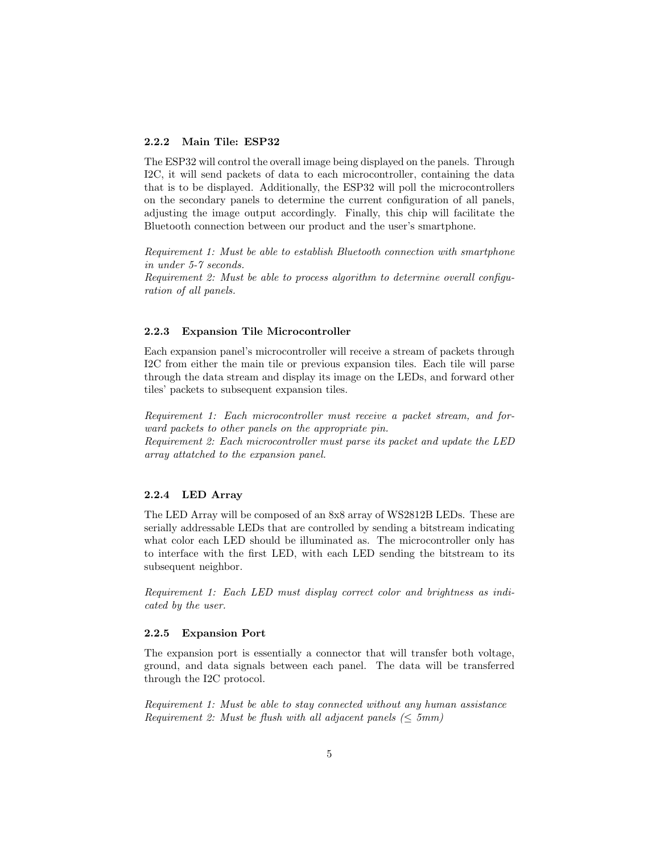#### 2.2.2 Main Tile: ESP32

The ESP32 will control the overall image being displayed on the panels. Through I2C, it will send packets of data to each microcontroller, containing the data that is to be displayed. Additionally, the ESP32 will poll the microcontrollers on the secondary panels to determine the current configuration of all panels, adjusting the image output accordingly. Finally, this chip will facilitate the Bluetooth connection between our product and the user's smartphone.

Requirement 1: Must be able to establish Bluetooth connection with smartphone in under 5-7 seconds.

Requirement 2: Must be able to process algorithm to determine overall configuration of all panels.

#### 2.2.3 Expansion Tile Microcontroller

Each expansion panel's microcontroller will receive a stream of packets through I2C from either the main tile or previous expansion tiles. Each tile will parse through the data stream and display its image on the LEDs, and forward other tiles' packets to subsequent expansion tiles.

Requirement 1: Each microcontroller must receive a packet stream, and forward packets to other panels on the appropriate pin. Requirement 2: Each microcontroller must parse its packet and update the LED array attatched to the expansion panel.

#### 2.2.4 LED Array

The LED Array will be composed of an 8x8 array of WS2812B LEDs. These are serially addressable LEDs that are controlled by sending a bitstream indicating what color each LED should be illuminated as. The microcontroller only has to interface with the first LED, with each LED sending the bitstream to its subsequent neighbor.

Requirement 1: Each LED must display correct color and brightness as indicated by the user.

#### 2.2.5 Expansion Port

The expansion port is essentially a connector that will transfer both voltage, ground, and data signals between each panel. The data will be transferred through the I2C protocol.

Requirement 1: Must be able to stay connected without any human assistance Requirement 2: Must be flush with all adjacent panels ( $\leq 5mm$ )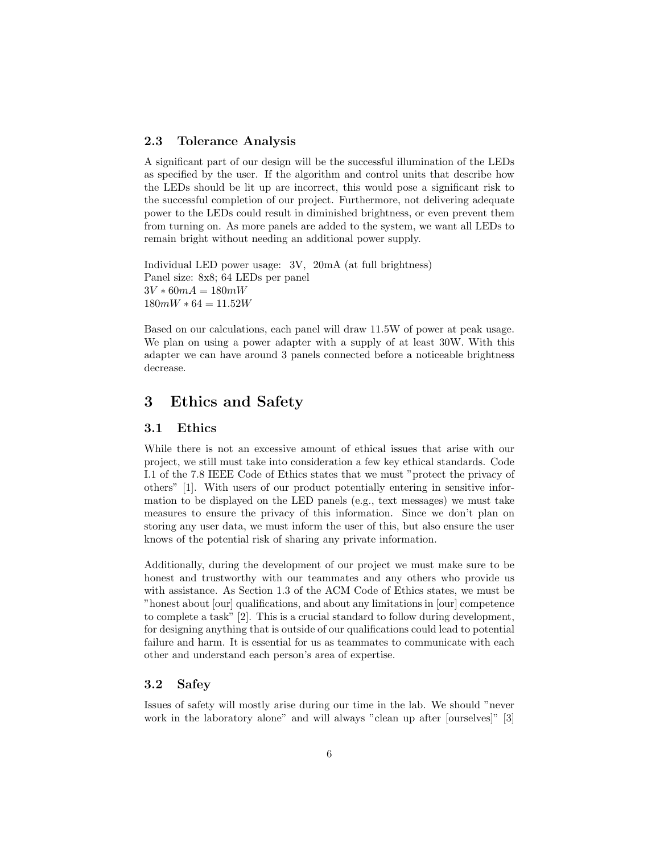#### 2.3 Tolerance Analysis

A significant part of our design will be the successful illumination of the LEDs as specified by the user. If the algorithm and control units that describe how the LEDs should be lit up are incorrect, this would pose a significant risk to the successful completion of our project. Furthermore, not delivering adequate power to the LEDs could result in diminished brightness, or even prevent them from turning on. As more panels are added to the system, we want all LEDs to remain bright without needing an additional power supply.

Individual LED power usage: 3V, 20mA (at full brightness) Panel size: 8x8; 64 LEDs per panel  $3V * 60mA = 180mW$  $180mW * 64 = 11.52W$ 

Based on our calculations, each panel will draw 11.5W of power at peak usage. We plan on using a power adapter with a supply of at least 30W. With this adapter we can have around 3 panels connected before a noticeable brightness decrease.

## 3 Ethics and Safety

#### 3.1 Ethics

While there is not an excessive amount of ethical issues that arise with our project, we still must take into consideration a few key ethical standards. Code I.1 of the 7.8 IEEE Code of Ethics states that we must "protect the privacy of others" [1]. With users of our product potentially entering in sensitive information to be displayed on the LED panels (e.g., text messages) we must take measures to ensure the privacy of this information. Since we don't plan on storing any user data, we must inform the user of this, but also ensure the user knows of the potential risk of sharing any private information.

Additionally, during the development of our project we must make sure to be honest and trustworthy with our teammates and any others who provide us with assistance. As Section 1.3 of the ACM Code of Ethics states, we must be "honest about [our] qualifications, and about any limitations in [our] competence to complete a task" [2]. This is a crucial standard to follow during development, for designing anything that is outside of our qualifications could lead to potential failure and harm. It is essential for us as teammates to communicate with each other and understand each person's area of expertise.

#### 3.2 Safey

Issues of safety will mostly arise during our time in the lab. We should "never work in the laboratory alone" and will always "clean up after [ourselves]" [3]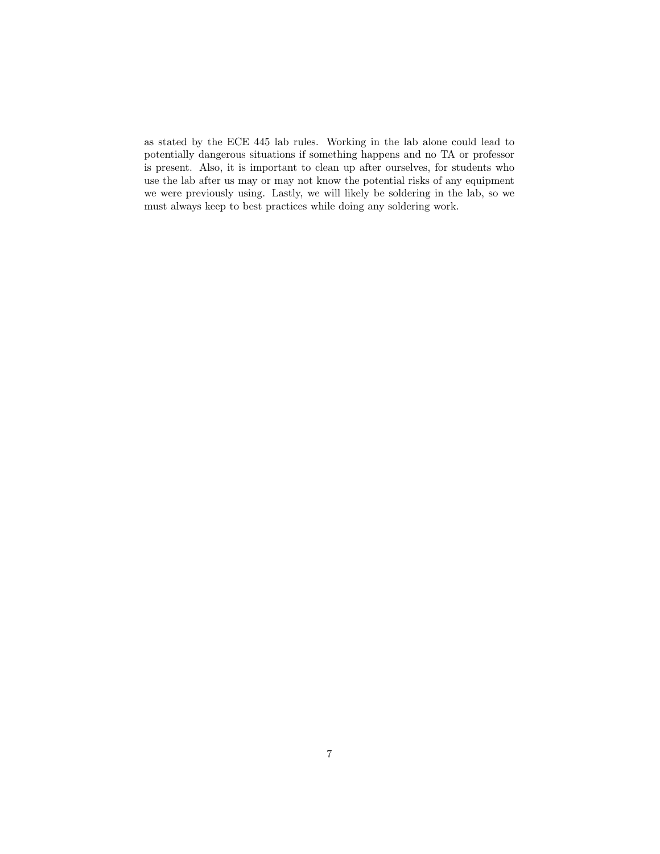as stated by the ECE 445 lab rules. Working in the lab alone could lead to potentially dangerous situations if something happens and no TA or professor is present. Also, it is important to clean up after ourselves, for students who use the lab after us may or may not know the potential risks of any equipment we were previously using. Lastly, we will likely be soldering in the lab, so we must always keep to best practices while doing any soldering work.